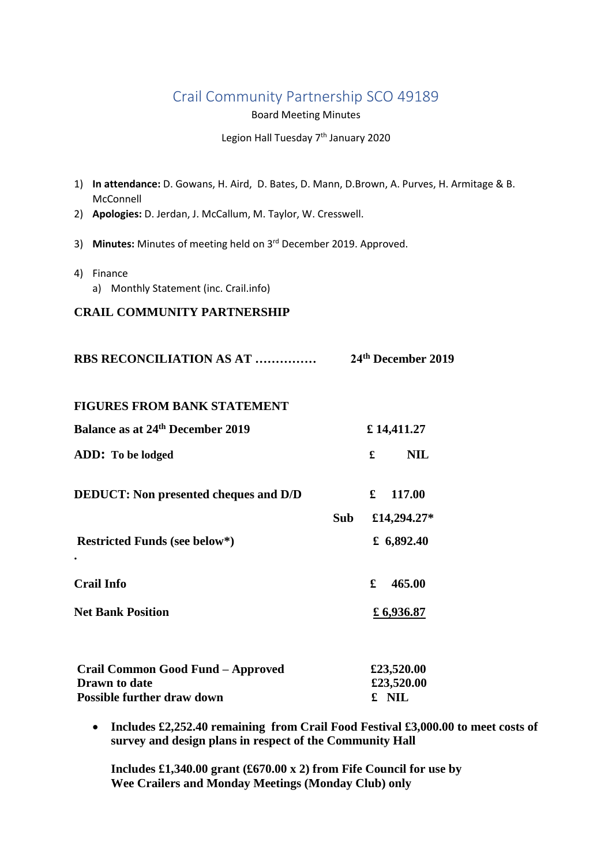## Crail Community Partnership SCO 49189

Board Meeting Minutes

Legion Hall Tuesday 7<sup>th</sup> January 2020

| 1) In attendance: D. Gowans, H. Aird, D. Bates, D. Mann, D. Brown, A. Purves, H. Armitage & B.<br>McConnell |                       |
|-------------------------------------------------------------------------------------------------------------|-----------------------|
| 2) Apologies: D. Jerdan, J. McCallum, M. Taylor, W. Cresswell.                                              |                       |
| 3) Minutes: Minutes of meeting held on 3rd December 2019. Approved.                                         |                       |
| 4) Finance<br>a) Monthly Statement (inc. Crail.info)                                                        |                       |
| <b>CRAIL COMMUNITY PARTNERSHIP</b>                                                                          |                       |
| RBS RECONCILIATION AS AT                                                                                    | 24th December 2019    |
| <b>FIGURES FROM BANK STATEMENT</b>                                                                          |                       |
| <b>Balance as at 24th December 2019</b>                                                                     | £14,411.27            |
| ADD: To be lodged                                                                                           | <b>NIL</b><br>£       |
| <b>DEDUCT:</b> Non presented cheques and D/D                                                                | $\mathbf f$<br>117.00 |
| Sub                                                                                                         | £14,294.27*           |
| <b>Restricted Funds (see below*)</b>                                                                        | £ $6,892.40$          |
| <b>Crail Info</b>                                                                                           | £<br>465.00           |
| <b>Net Bank Position</b>                                                                                    | £ 6,936.87            |
|                                                                                                             |                       |
| Crail Common Good Fund - Approved                                                                           | £23,520.00            |
| <b>Drawn</b> to date<br><b>Possible further draw down</b>                                                   | £23,520.00<br>£ NIL   |
|                                                                                                             |                       |

 **Includes £2,252.40 remaining from Crail Food Festival £3,000.00 to meet costs of survey and design plans in respect of the Community Hall** 

**Includes £1,340.00 grant (£670.00 x 2) from Fife Council for use by Wee Crailers and Monday Meetings (Monday Club) only**